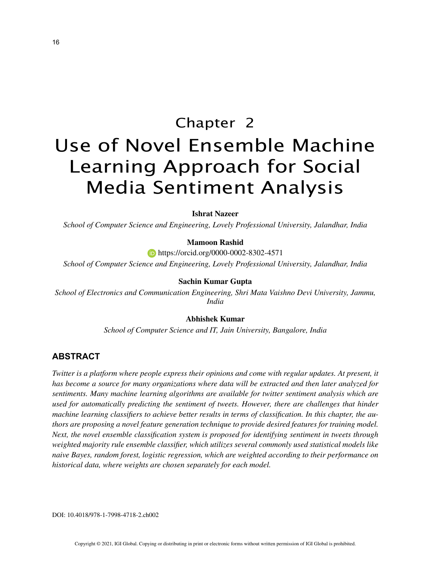# Chapter 2 Use of Novel Ensemble Machine Learning Approach for Social Media Sentiment Analysis

**Ishrat Nazeer**

*School of Computer Science and Engineering, Lovely Professional University, Jalandhar, India*

#### **Mamoon Rashid**

**https://orcid.org/0000-0002-8302-4571** 

*School of Computer Science and Engineering, Lovely Professional University, Jalandhar, India*

#### **Sachin Kumar Gupta**

*School of Electronics and Communication Engineering, Shri Mata Vaishno Devi University, Jammu, India*

## **Abhishek Kumar**

*School of Computer Science and IT, Jain University, Bangalore, India*

## **ABSTRACT**

*Twitter is a platform where people express their opinions and come with regular updates. At present, it has become a source for many organizations where data will be extracted and then later analyzed for sentiments. Many machine learning algorithms are available for twitter sentiment analysis which are used for automatically predicting the sentiment of tweets. However, there are challenges that hinder machine learning classifiers to achieve better results in terms of classification. In this chapter, the authors are proposing a novel feature generation technique to provide desired features for training model. Next, the novel ensemble classification system is proposed for identifying sentiment in tweets through weighted majority rule ensemble classifier, which utilizes several commonly used statistical models like naive Bayes, random forest, logistic regression, which are weighted according to their performance on historical data, where weights are chosen separately for each model.*

DOI: 10.4018/978-1-7998-4718-2.ch002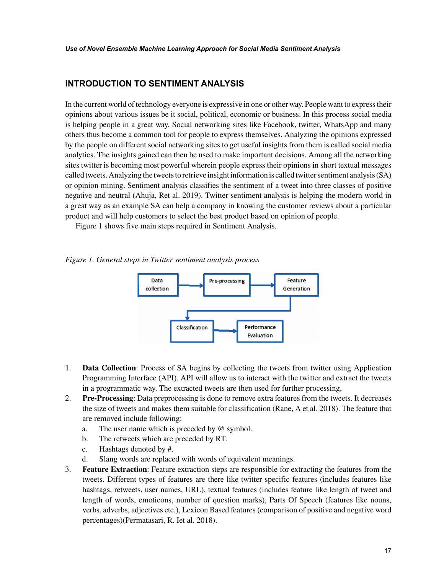# **INTRODUCTION TO SENTIMENT ANALYSIS**

In the current world of technology everyone is expressive in one or other way. People want to express their opinions about various issues be it social, political, economic or business. In this process social media is helping people in a great way. Social networking sites like Facebook, twitter, WhatsApp and many others thus become a common tool for people to express themselves. Analyzing the opinions expressed by the people on different social networking sites to get useful insights from them is called social media analytics. The insights gained can then be used to make important decisions. Among all the networking sites twitter is becoming most powerful wherein people express their opinions in short textual messages called tweets. Analyzing the tweets to retrieve insight information is called twitter sentiment analysis (SA) or opinion mining. Sentiment analysis classifies the sentiment of a tweet into three classes of positive negative and neutral (Ahuja, Ret al. 2019). Twitter sentiment analysis is helping the modern world in a great way as an example SA can help a company in knowing the customer reviews about a particular product and will help customers to select the best product based on opinion of people.

Figure 1 shows five main steps required in Sentiment Analysis.

*Figure 1. General steps in Twitter sentiment analysis process*



- 1. **Data Collection**: Process of SA begins by collecting the tweets from twitter using Application Programming Interface (API). API will allow us to interact with the twitter and extract the tweets in a programmatic way. The extracted tweets are then used for further processing,
- 2. **Pre-Processing**: Data preprocessing is done to remove extra features from the tweets. It decreases the size of tweets and makes them suitable for classification (Rane, A et al. 2018). The feature that are removed include following:
	- a. The user name which is preceded by @ symbol.
	- b. The retweets which are preceded by RT.
	- c. Hashtags denoted by #.
	- d. Slang words are replaced with words of equivalent meanings.
- 3. **Feature Extraction**: Feature extraction steps are responsible for extracting the features from the tweets. Different types of features are there like twitter specific features (includes features like hashtags, retweets, user names, URL), textual features (includes feature like length of tweet and length of words, emoticons, number of question marks), Parts Of Speech (features like nouns, verbs, adverbs, adjectives etc.), Lexicon Based features (comparison of positive and negative word percentages)(Permatasari, R. Iet al. 2018).